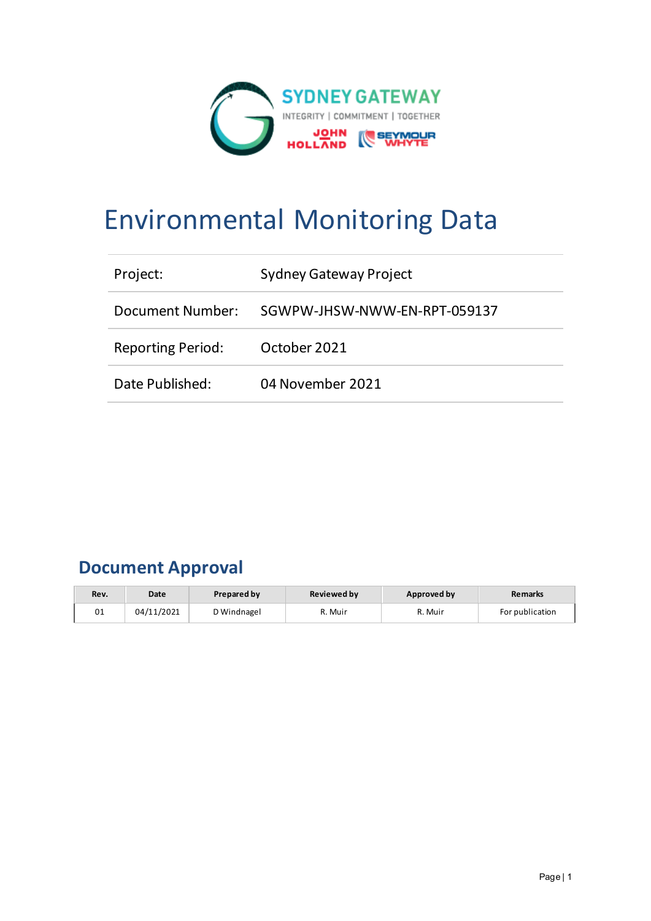

# Environmental Monitoring Data

| Project:                 | <b>Sydney Gateway Project</b> |
|--------------------------|-------------------------------|
| Document Number:         | SGWPW-JHSW-NWW-EN-RPT-059137  |
| <b>Reporting Period:</b> | October 2021                  |
| Date Published:          | 04 November 2021              |

# **Document Approval**

| Rev. | Date       | <b>Prepared by</b> | <b>Reviewed by</b> | Approved by | <b>Remarks</b>  |
|------|------------|--------------------|--------------------|-------------|-----------------|
| 01   | 04/11/2021 | D Windnagel        | R. Muir            | R. Muir     | For publication |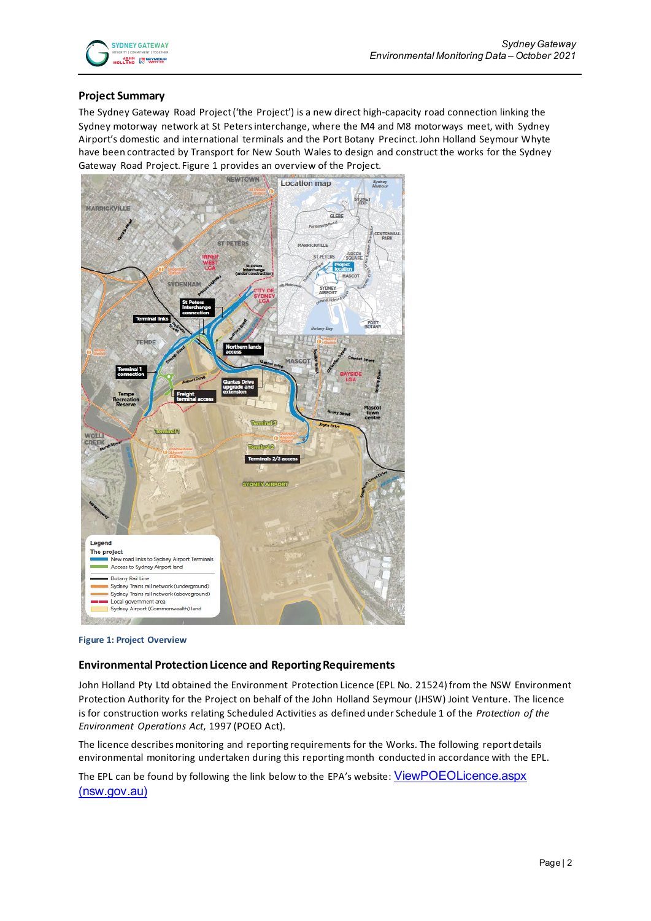#### **Project Summary**

The Sydney Gateway Road Project ('the Project') is a new direct high-capacity road connection linking the Sydney motorway network at St Peters interchange, where the M4 and M8 motorways meet, with Sydney Airport's domestic and international terminals and the Port Botany Precinct. John Holland Seymour Whyte have been contracted by Transport for New South Wales to design and construct the works for the Sydney Gateway Road Project. Figure 1 provides an overview of the Project.



**Figure 1: Project Overview**

#### **Environmental Protection Licence and Reporting Requirements**

John Holland Pty Ltd obtained the Environment Protection Licence (EPL No. 21524) from the NSW Environment Protection Authority for the Project on behalf of the John Holland Seymour (JHSW) Joint Venture. The licence is for construction works relating Scheduled Activities as defined under Schedule 1 of the *Protection of the Environment Operations Act*, 1997 (POEO Act).

The licence describes monitoring and reporting requirements for the Works. The following report details environmental monitoring undertaken during this reporting month conducted in accordance with the EPL.

The EPL can be found by following the link below to the EPA's website: ViewPOEOLicence.aspx [\(nsw.gov.au\)](https://app.epa.nsw.gov.au/prpoeoapp/ViewPOEOLicence.aspx?DOCID=223210&SYSUID=1&LICID=21524)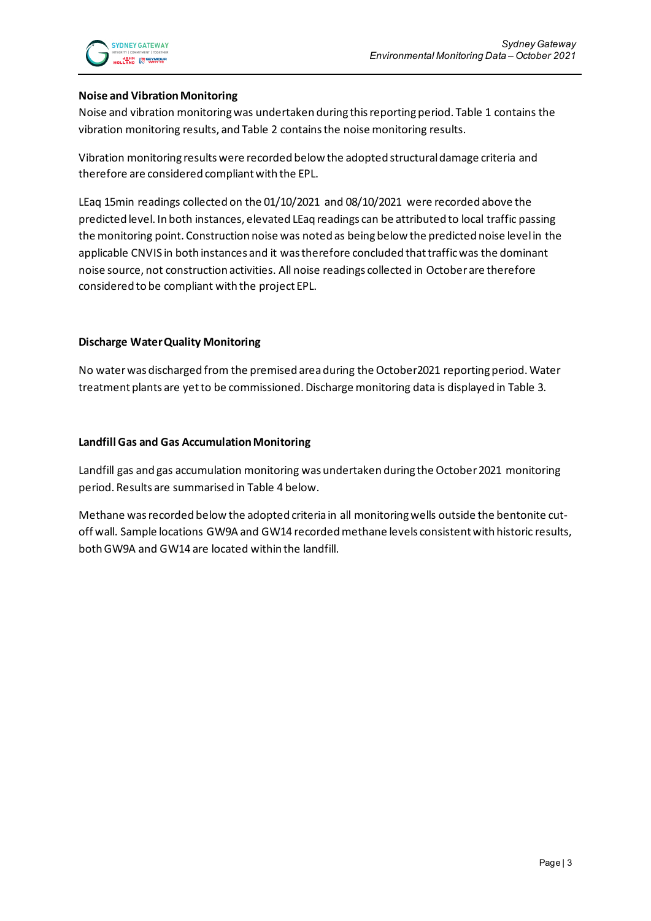#### **Noise and Vibration Monitoring**

Noise and vibration monitoring was undertaken during thisreporting period. Table 1 contains the vibration monitoring results, and Table 2 contains the noise monitoring results.

Vibration monitoring results were recorded below the adopted structural damage criteria and therefore are considered compliant with the EPL.

LEaq 15min readings collected on the 01/10/2021 and 08/10/2021 were recorded above the predicted level. In both instances, elevated LEaq readings can be attributed to local traffic passing the monitoring point. Construction noise was noted as being below the predicted noise level in the applicable CNVIS in both instances and it was therefore concluded that traffic was the dominant noise source, not construction activities. All noise readings collected in October are therefore considered to be compliant with the project EPL.

#### **Discharge Water Quality Monitoring**

No water was discharged from the premised area during the October2021 reporting period. Water treatment plants are yet to be commissioned. Discharge monitoring data is displayed in Table 3.

#### **Landfill Gas and Gas Accumulation Monitoring**

Landfill gas and gas accumulation monitoring was undertaken during the October 2021 monitoring period. Results are summarised in Table 4 below.

Methane was recorded below the adopted criteria in all monitoring wells outside the bentonite cutoff wall. Sample locations GW9A and GW14 recorded methane levels consistent with historic results, both GW9A and GW14 are located within the landfill.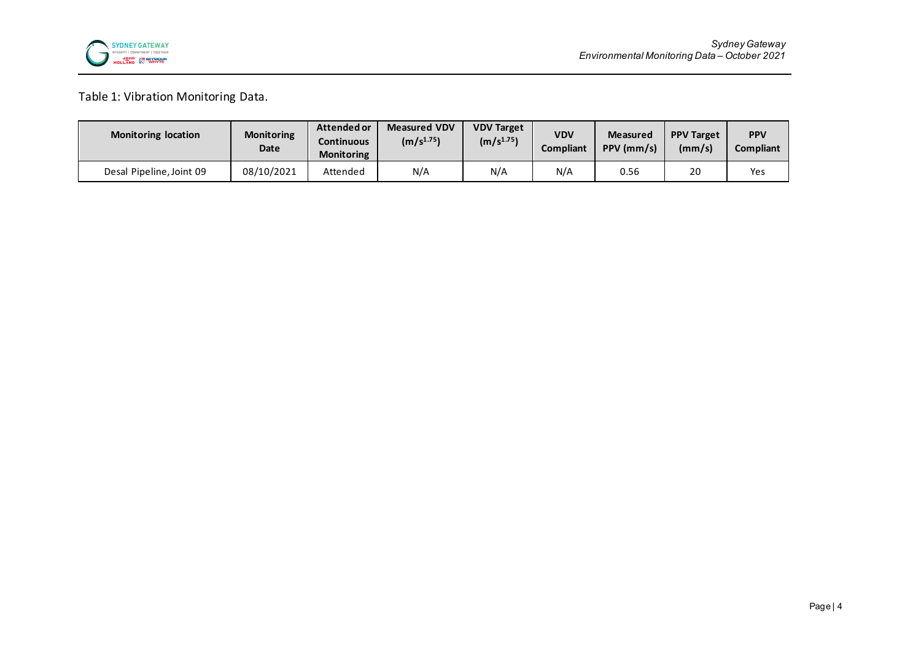

## Table 1: Vibration Monitoring Data.

| <b>Monitoring location</b> | <b>Monitoring</b><br>Date | Attended or<br>Continuous<br><b>Monitoring</b> | <b>Measured VDV</b><br>(m/s <sup>1.75</sup> ) | <b>VDV Target</b><br>(m/s <sup>1.75</sup> ) | <b>VDV</b><br><b>Compliant</b> | <b>Measured</b><br>PPV (mm/s) | <b>PPV Target</b><br>(mm/s) | <b>PPV</b><br>Compliant |
|----------------------------|---------------------------|------------------------------------------------|-----------------------------------------------|---------------------------------------------|--------------------------------|-------------------------------|-----------------------------|-------------------------|
| Desal Pipeline, Joint 09   | 08/10/2021                | Attended                                       | N/A                                           | N/A                                         | N/A                            | 0.56                          | 20                          | Yes                     |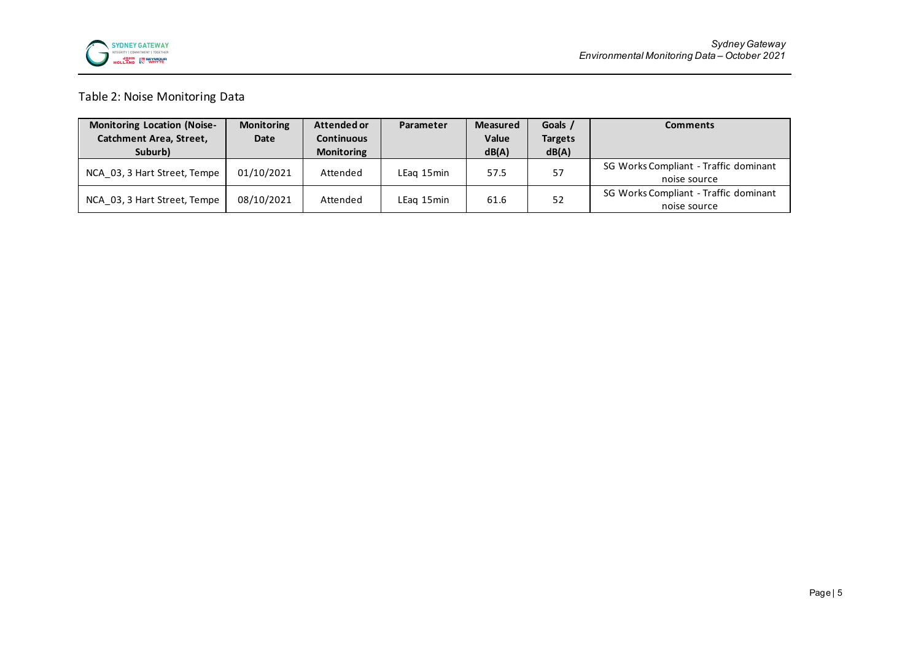

### Table 2: Noise Monitoring Data

| <b>Monitoring Location (Noise-</b> | <b>Monitoring</b> | Attended or       | Parameter  | <b>Measured</b> | Goals /        | <b>Comments</b>                                       |
|------------------------------------|-------------------|-------------------|------------|-----------------|----------------|-------------------------------------------------------|
| <b>Catchment Area, Street,</b>     | Date              | <b>Continuous</b> |            | Value           | <b>Targets</b> |                                                       |
| Suburb)                            |                   | <b>Monitoring</b> |            | dB(A)           | dB(A)          |                                                       |
| NCA 03, 3 Hart Street, Tempe       | 01/10/2021        | Attended          | LEag 15min | 57.5            | 57             | SG Works Compliant - Traffic dominant<br>noise source |
| NCA 03, 3 Hart Street, Tempe       | 08/10/2021        | Attended          | LEag 15min | 61.6            | 52             | SG Works Compliant - Traffic dominant<br>noise source |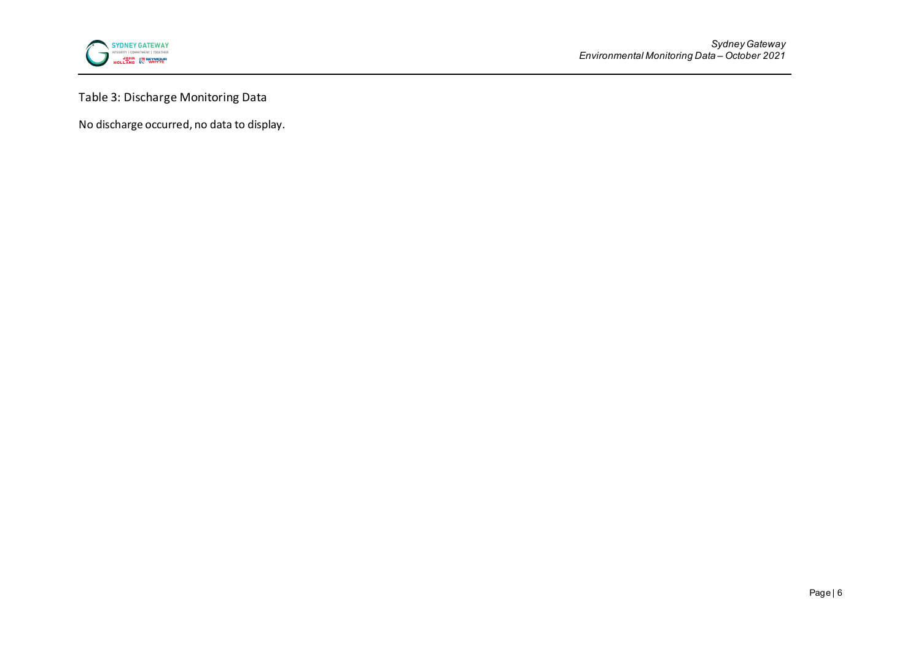

Table 3: Discharge Monitoring Data

No discharge occurred, no data to display.